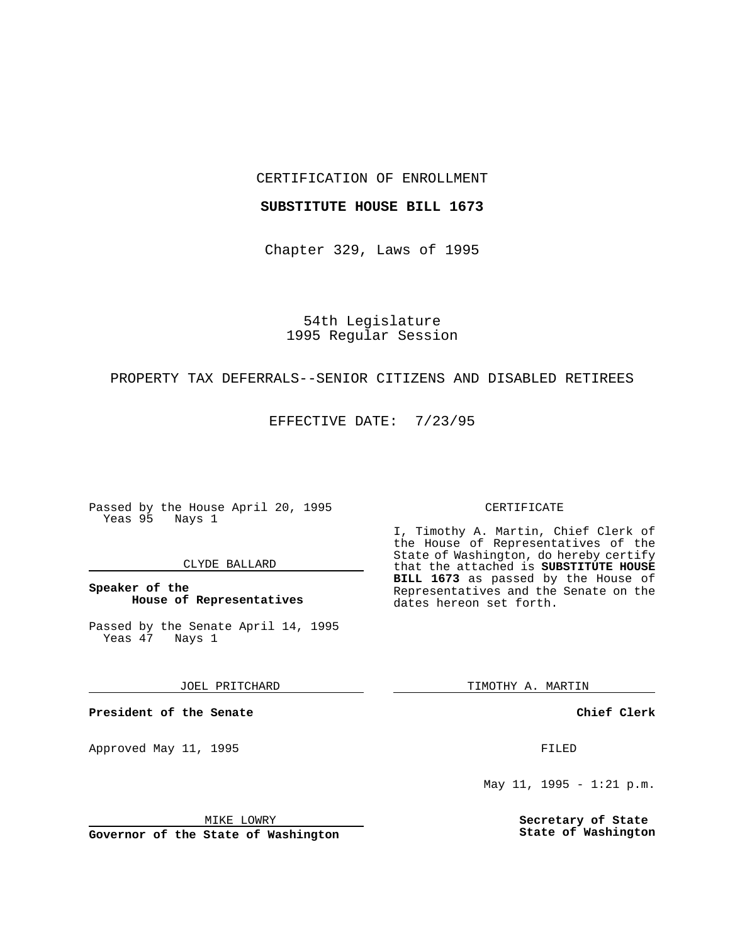CERTIFICATION OF ENROLLMENT

## **SUBSTITUTE HOUSE BILL 1673**

Chapter 329, Laws of 1995

54th Legislature 1995 Regular Session

# PROPERTY TAX DEFERRALS--SENIOR CITIZENS AND DISABLED RETIREES

EFFECTIVE DATE: 7/23/95

Passed by the House April 20, 1995 Yeas 95 Nays 1

### CLYDE BALLARD

**Speaker of the House of Representatives**

Passed by the Senate April 14, 1995<br>Yeas 47 Nays 1 Yeas 47

JOEL PRITCHARD

**President of the Senate**

Approved May 11, 1995 FILED

MIKE LOWRY

**Governor of the State of Washington**

#### CERTIFICATE

I, Timothy A. Martin, Chief Clerk of the House of Representatives of the State of Washington, do hereby certify that the attached is **SUBSTITUTE HOUSE BILL 1673** as passed by the House of Representatives and the Senate on the dates hereon set forth.

TIMOTHY A. MARTIN

**Chief Clerk**

May 11, 1995 - 1:21 p.m.

**Secretary of State State of Washington**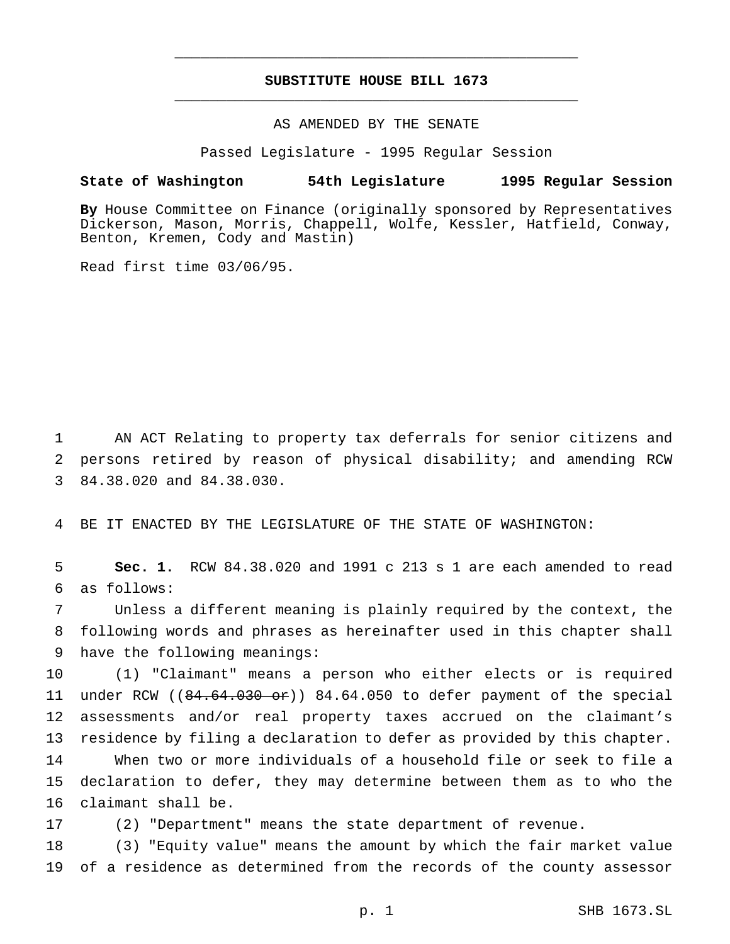# **SUBSTITUTE HOUSE BILL 1673** \_\_\_\_\_\_\_\_\_\_\_\_\_\_\_\_\_\_\_\_\_\_\_\_\_\_\_\_\_\_\_\_\_\_\_\_\_\_\_\_\_\_\_\_\_\_\_

\_\_\_\_\_\_\_\_\_\_\_\_\_\_\_\_\_\_\_\_\_\_\_\_\_\_\_\_\_\_\_\_\_\_\_\_\_\_\_\_\_\_\_\_\_\_\_

# AS AMENDED BY THE SENATE

Passed Legislature - 1995 Regular Session

#### **State of Washington 54th Legislature 1995 Regular Session**

**By** House Committee on Finance (originally sponsored by Representatives Dickerson, Mason, Morris, Chappell, Wolfe, Kessler, Hatfield, Conway, Benton, Kremen, Cody and Mastin)

Read first time 03/06/95.

1 AN ACT Relating to property tax deferrals for senior citizens and 2 persons retired by reason of physical disability; and amending RCW 3 84.38.020 and 84.38.030.

4 BE IT ENACTED BY THE LEGISLATURE OF THE STATE OF WASHINGTON:

5 **Sec. 1.** RCW 84.38.020 and 1991 c 213 s 1 are each amended to read 6 as follows:

7 Unless a different meaning is plainly required by the context, the 8 following words and phrases as hereinafter used in this chapter shall 9 have the following meanings:

 (1) "Claimant" means a person who either elects or is required 11 under RCW  $((84.64.030 \text{ or}))$   $(84.64.050 \text{ to defer payment of the special})$  assessments and/or real property taxes accrued on the claimant's residence by filing a declaration to defer as provided by this chapter. When two or more individuals of a household file or seek to file a declaration to defer, they may determine between them as to who the claimant shall be.

17 (2) "Department" means the state department of revenue.

18 (3) "Equity value" means the amount by which the fair market value 19 of a residence as determined from the records of the county assessor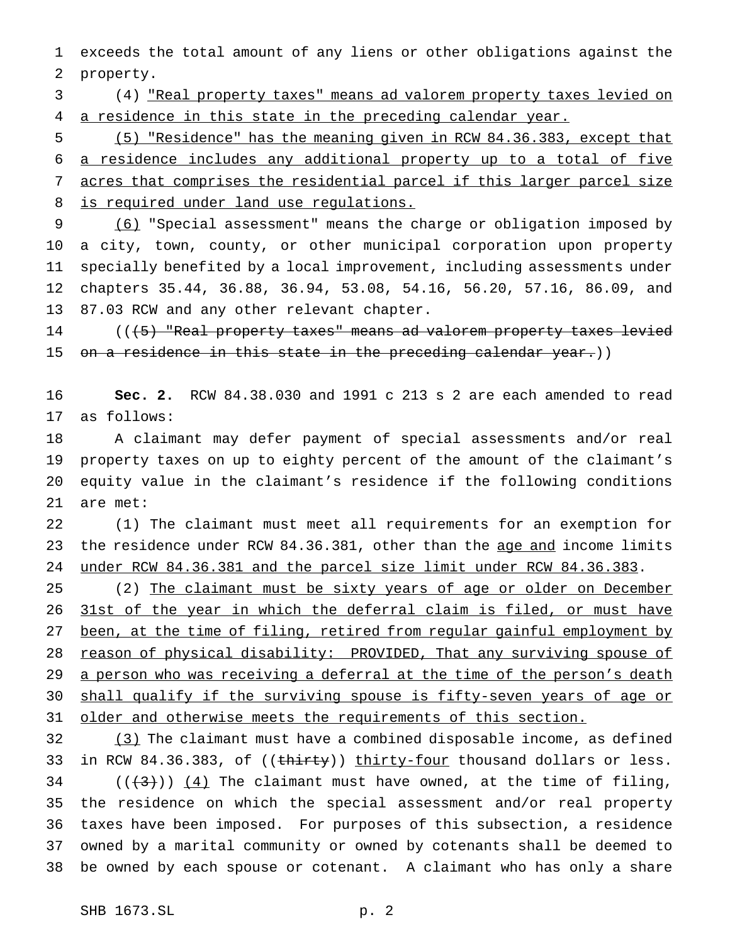exceeds the total amount of any liens or other obligations against the property.

 (4) "Real property taxes" means ad valorem property taxes levied on 4 a residence in this state in the preceding calendar year.

 (5) "Residence" has the meaning given in RCW 84.36.383, except that a residence includes any additional property up to a total of five acres that comprises the residential parcel if this larger parcel size 8 is required under land use regulations.

 (6) "Special assessment" means the charge or obligation imposed by a city, town, county, or other municipal corporation upon property specially benefited by a local improvement, including assessments under chapters 35.44, 36.88, 36.94, 53.08, 54.16, 56.20, 57.16, 86.09, and 87.03 RCW and any other relevant chapter.

14 (((5) "Real property taxes" means ad valorem property taxes levied 15 on a residence in this state in the preceding calendar year.))

 **Sec. 2.** RCW 84.38.030 and 1991 c 213 s 2 are each amended to read as follows:

 A claimant may defer payment of special assessments and/or real property taxes on up to eighty percent of the amount of the claimant's equity value in the claimant's residence if the following conditions are met:

 (1) The claimant must meet all requirements for an exemption for 23 the residence under RCW 84.36.381, other than the age and income limits 24 under RCW 84.36.381 and the parcel size limit under RCW 84.36.383.

25 (2) The claimant must be sixty years of age or older on December 31st of the year in which the deferral claim is filed, or must have been, at the time of filing, retired from regular gainful employment by 28 reason of physical disability: PROVIDED, That any surviving spouse of 29 a person who was receiving a deferral at the time of the person's death shall qualify if the surviving spouse is fifty-seven years of age or 31 older and otherwise meets the requirements of this section.

32 (3) The claimant must have a combined disposable income, as defined 33 in RCW 84.36.383, of ((thirty)) thirty-four thousand dollars or less.  $((+3))$   $(4)$  The claimant must have owned, at the time of filing, the residence on which the special assessment and/or real property taxes have been imposed. For purposes of this subsection, a residence owned by a marital community or owned by cotenants shall be deemed to be owned by each spouse or cotenant. A claimant who has only a share